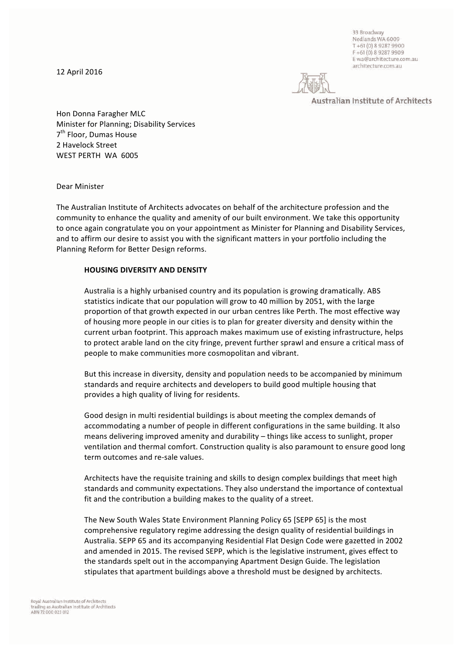12 April 2016

33 Broadway Nedlands WA 6009 T +61 (0) 8 9287 9900 F+61 (0) 8 9287 9909 E wa@architecture.com.au architecture.com.au

Australian Institute of Architects

Hon Donna Faragher MLC Minister for Planning; Disability Services 7<sup>th</sup> Floor, Dumas House 2 Havelock Street WEST PERTH WA 6005

Dear Minister

The Australian Institute of Architects advocates on behalf of the architecture profession and the community to enhance the quality and amenity of our built environment. We take this opportunity to once again congratulate you on your appointment as Minister for Planning and Disability Services, and to affirm our desire to assist you with the significant matters in your portfolio including the Planning Reform for Better Design reforms.

## **HOUSING DIVERSITY AND DENSITY**

Australia is a highly urbanised country and its population is growing dramatically. ABS statistics indicate that our population will grow to 40 million by 2051, with the large proportion of that growth expected in our urban centres like Perth. The most effective way of housing more people in our cities is to plan for greater diversity and density within the current urban footprint. This approach makes maximum use of existing infrastructure, helps to protect arable land on the city fringe, prevent further sprawl and ensure a critical mass of people to make communities more cosmopolitan and vibrant.

But this increase in diversity, density and population needs to be accompanied by minimum standards and require architects and developers to build good multiple housing that provides a high quality of living for residents.

Good design in multi residential buildings is about meeting the complex demands of accommodating a number of people in different configurations in the same building. It also means delivering improved amenity and durability – things like access to sunlight, proper ventilation and thermal comfort. Construction quality is also paramount to ensure good long term outcomes and re-sale values.

Architects have the requisite training and skills to design complex buildings that meet high standards and community expectations. They also understand the importance of contextual fit and the contribution a building makes to the quality of a street.

The New South Wales State Environment Planning Policy 65 [SEPP 65] is the most comprehensive regulatory regime addressing the design quality of residential buildings in Australia. SEPP 65 and its accompanying Residential Flat Design Code were gazetted in 2002 and amended in 2015. The revised SEPP, which is the legislative instrument, gives effect to the standards spelt out in the accompanying Apartment Design Guide. The legislation stipulates that apartment buildings above a threshold must be designed by architects.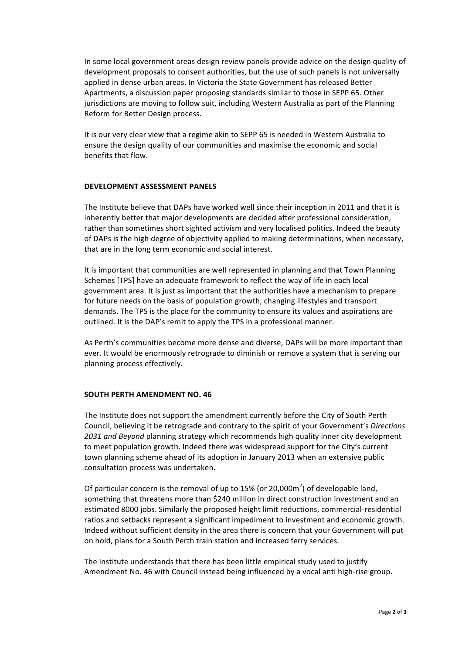In some local government areas design review panels provide advice on the design quality of development proposals to consent authorities, but the use of such panels is not universally applied in dense urban areas. In Victoria the State Government has released Better Apartments, a discussion paper proposing standards similar to those in SEPP 65. Other jurisdictions are moving to follow suit, including Western Australia as part of the Planning Reform for Better Design process.

It is our very clear view that a regime akin to SEPP 65 is needed in Western Australia to ensure the design quality of our communities and maximise the economic and social benefits that flow.

## **DEVELOPMENT ASSESSMENT PANELS**

The Institute believe that DAPs have worked well since their inception in 2011 and that it is inherently better that major developments are decided after professional consideration, rather than sometimes short sighted activism and very localised politics. Indeed the beauty of DAPs is the high degree of objectivity applied to making determinations, when necessary, that are in the long term economic and social interest.

It is important that communities are well represented in planning and that Town Planning Schemes [TPS] have an adequate framework to reflect the way of life in each local government area. It is just as important that the authorities have a mechanism to prepare for future needs on the basis of population growth, changing lifestyles and transport demands. The TPS is the place for the community to ensure its values and aspirations are outlined. It is the DAP's remit to apply the TPS in a professional manner.

As Perth's communities become more dense and diverse, DAPs will be more important than ever. It would be enormously retrograde to diminish or remove a system that is serving our planning process effectively.

## **SOUTH PERTH AMENDMENT NO. 46**

The Institute does not support the amendment currently before the City of South Perth Council, believing it be retrograde and contrary to the spirit of your Government's *Directions* 2031 and Beyond planning strategy which recommends high quality inner city development to meet population growth. Indeed there was widespread support for the City's current town planning scheme ahead of its adoption in January 2013 when an extensive public consultation process was undertaken.

Of particular concern is the removal of up to 15% (or 20,000m<sup>2</sup>) of developable land, something that threatens more than \$240 million in direct construction investment and an estimated 8000 jobs. Similarly the proposed height limit reductions, commercial-residential ratios and setbacks represent a significant impediment to investment and economic growth. Indeed without sufficient density in the area there is concern that your Government will put on hold, plans for a South Perth train station and increased ferry services.

The Institute understands that there has been little empirical study used to justify Amendment No. 46 with Council instead being influenced by a vocal anti high-rise group.